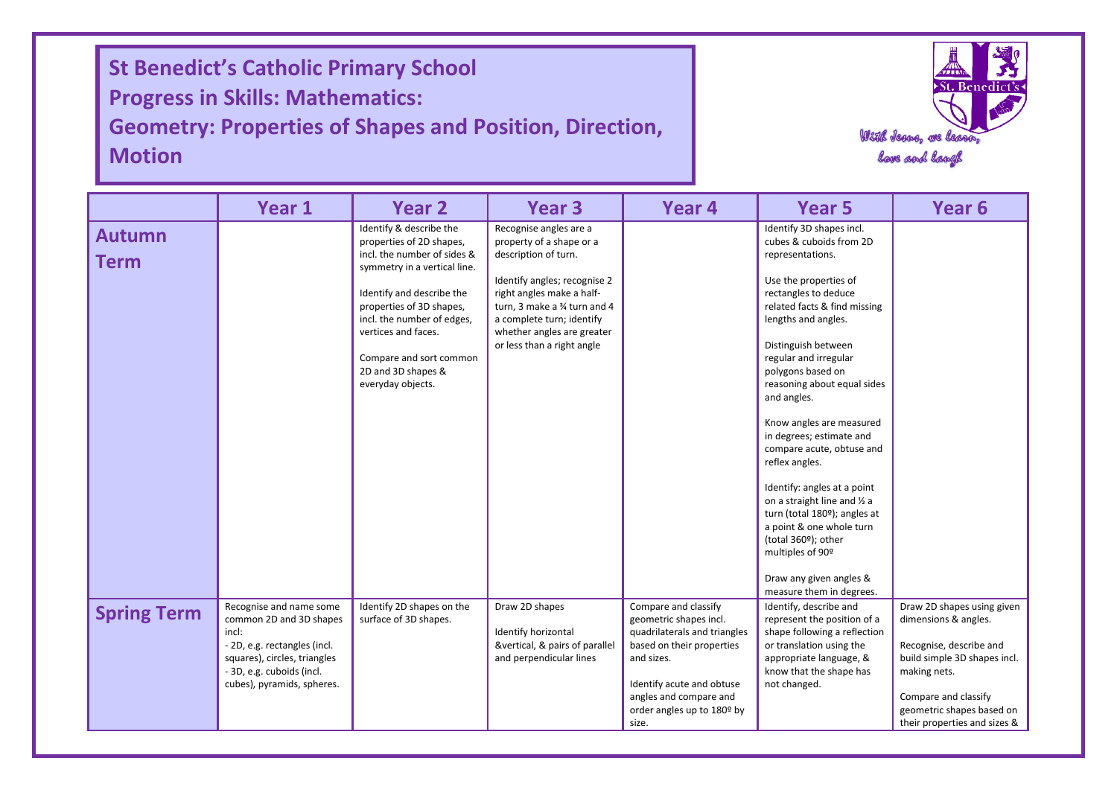I **St Benedict's Catholic Primary School Progress in Skills: Mathematics: Geometry: Properties of Shapes and Position, Direction, Motion**

I

I



|                              | Year 1                                                                                                                                                                                 | <b>Year 2</b>                                                                                                                                                                                                                                                                                          | Year 3                                                                                                                                                                                                                                                          | Year 4                                                                                                                                                                                                                  | <b>Year 5</b>                                                                                                                                                                                                                                                                                                                                                                                                                                                                                                                                                                                                                                                    | Year <sub>6</sub>                                                                                                                                                                                                  |  |  |  |  |
|------------------------------|----------------------------------------------------------------------------------------------------------------------------------------------------------------------------------------|--------------------------------------------------------------------------------------------------------------------------------------------------------------------------------------------------------------------------------------------------------------------------------------------------------|-----------------------------------------------------------------------------------------------------------------------------------------------------------------------------------------------------------------------------------------------------------------|-------------------------------------------------------------------------------------------------------------------------------------------------------------------------------------------------------------------------|------------------------------------------------------------------------------------------------------------------------------------------------------------------------------------------------------------------------------------------------------------------------------------------------------------------------------------------------------------------------------------------------------------------------------------------------------------------------------------------------------------------------------------------------------------------------------------------------------------------------------------------------------------------|--------------------------------------------------------------------------------------------------------------------------------------------------------------------------------------------------------------------|--|--|--|--|
| <b>Autumn</b><br><b>Term</b> |                                                                                                                                                                                        | Identify & describe the<br>properties of 2D shapes,<br>incl. the number of sides &<br>symmetry in a vertical line.<br>Identify and describe the<br>properties of 3D shapes,<br>incl. the number of edges,<br>vertices and faces.<br>Compare and sort common<br>2D and 3D shapes &<br>everyday objects. | Recognise angles are a<br>property of a shape or a<br>description of turn.<br>Identify angles; recognise 2<br>right angles make a half-<br>turn, 3 make a % turn and 4<br>a complete turn; identify<br>whether angles are greater<br>or less than a right angle |                                                                                                                                                                                                                         | Identify 3D shapes incl.<br>cubes & cuboids from 2D<br>representations.<br>Use the properties of<br>rectangles to deduce<br>related facts & find missing<br>lengths and angles.<br>Distinguish between<br>regular and irregular<br>polygons based on<br>reasoning about equal sides<br>and angles.<br>Know angles are measured<br>in degrees; estimate and<br>compare acute, obtuse and<br>reflex angles.<br>Identify: angles at a point<br>on a straight line and 1/2 a<br>turn (total 180 <sup>°</sup> ); angles at<br>a point & one whole turn<br>(total 360 <sup>o</sup> ); other<br>multiples of 90°<br>Draw any given angles &<br>measure them in degrees. |                                                                                                                                                                                                                    |  |  |  |  |
| <b>Spring Term</b>           | Recognise and name some<br>common 2D and 3D shapes<br>incl:<br>- 2D, e.g. rectangles (incl.<br>squares), circles, triangles<br>- 3D, e.g. cuboids (incl.<br>cubes), pyramids, spheres. | Identify 2D shapes on the<br>surface of 3D shapes.                                                                                                                                                                                                                                                     | Draw 2D shapes<br>Identify horizontal<br>&vertical, & pairs of parallel<br>and perpendicular lines                                                                                                                                                              | Compare and classify<br>geometric shapes incl.<br>quadrilaterals and triangles<br>based on their properties<br>and sizes.<br>Identify acute and obtuse<br>angles and compare and<br>order angles up to 180º by<br>size. | Identify, describe and<br>represent the position of a<br>shape following a reflection<br>or translation using the<br>appropriate language, &<br>know that the shape has<br>not changed.                                                                                                                                                                                                                                                                                                                                                                                                                                                                          | Draw 2D shapes using given<br>dimensions & angles.<br>Recognise, describe and<br>build simple 3D shapes incl.<br>making nets.<br>Compare and classify<br>geometric shapes based on<br>their properties and sizes & |  |  |  |  |